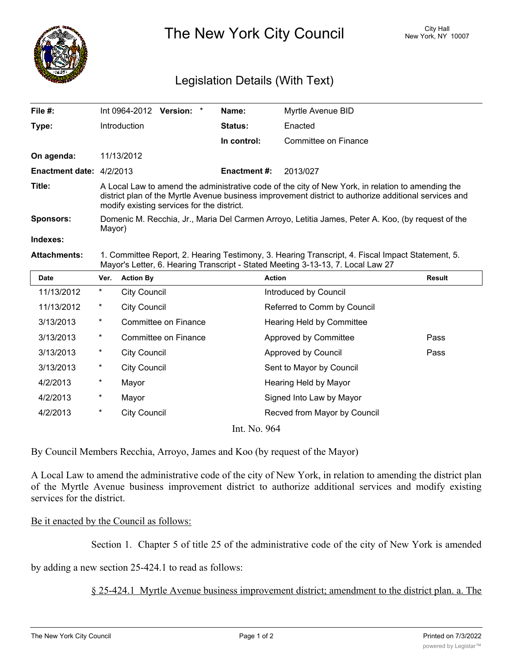

The New York City Council New York, NY 10007

## Legislation Details (With Text)

| File #:                  |                                                                                                                                                                                                                                                          |                     | Int 0964-2012 Version: * |  | Name:               | Myrtle Avenue BID           |               |  |
|--------------------------|----------------------------------------------------------------------------------------------------------------------------------------------------------------------------------------------------------------------------------------------------------|---------------------|--------------------------|--|---------------------|-----------------------------|---------------|--|
| Type:                    |                                                                                                                                                                                                                                                          | <b>Introduction</b> |                          |  | Status:             | Enacted                     |               |  |
|                          |                                                                                                                                                                                                                                                          |                     |                          |  | In control:         | Committee on Finance        |               |  |
| On agenda:               |                                                                                                                                                                                                                                                          | 11/13/2012          |                          |  |                     |                             |               |  |
| Enactment date: 4/2/2013 |                                                                                                                                                                                                                                                          |                     |                          |  | <b>Enactment #:</b> | 2013/027                    |               |  |
| Title:                   | A Local Law to amend the administrative code of the city of New York, in relation to amending the<br>district plan of the Myrtle Avenue business improvement district to authorize additional services and<br>modify existing services for the district. |                     |                          |  |                     |                             |               |  |
| <b>Sponsors:</b>         | Domenic M. Recchia, Jr., Maria Del Carmen Arroyo, Letitia James, Peter A. Koo, (by request of the<br>Mayor)                                                                                                                                              |                     |                          |  |                     |                             |               |  |
| Indexes:                 |                                                                                                                                                                                                                                                          |                     |                          |  |                     |                             |               |  |
| <b>Attachments:</b>      | 1. Committee Report, 2. Hearing Testimony, 3. Hearing Transcript, 4. Fiscal Impact Statement, 5.<br>Mayor's Letter, 6. Hearing Transcript - Stated Meeting 3-13-13, 7. Local Law 27                                                                      |                     |                          |  |                     |                             |               |  |
| <b>Date</b>              | Ver.                                                                                                                                                                                                                                                     | <b>Action By</b>    |                          |  |                     | <b>Action</b>               | <b>Result</b> |  |
| 11/13/2012               | *                                                                                                                                                                                                                                                        | <b>City Council</b> |                          |  |                     | Introduced by Council       |               |  |
| 11/13/2012               | *                                                                                                                                                                                                                                                        | <b>City Council</b> |                          |  |                     | Referred to Comm by Council |               |  |
| 3/13/2013                | $^\star$                                                                                                                                                                                                                                                 |                     | Committee on Finance     |  |                     | Hearing Held by Committee   |               |  |
| 3/13/2013                | *                                                                                                                                                                                                                                                        |                     | Committee on Finance     |  |                     | Approved by Committee       | Pass          |  |
| 3/13/2013                | *                                                                                                                                                                                                                                                        | <b>City Council</b> |                          |  |                     | Approved by Council         | Pass          |  |

| 4/2/2013 | $^\ast$ | Mayor        | Hearing Held by Mayor        |  |
|----------|---------|--------------|------------------------------|--|
| 4/2/2013 | $^\ast$ | Mayor        | Signed Into Law by Mayor     |  |
| 4/2/2013 | $^\ast$ | City Council | Recved from Mayor by Council |  |
|          |         |              | Int. No. 964                 |  |
|          |         |              |                              |  |

By Council Members Recchia, Arroyo, James and Koo (by request of the Mayor)

3/13/2013 \* City Council Sent to Mayor by Council

A Local Law to amend the administrative code of the city of New York, in relation to amending the district plan of the Myrtle Avenue business improvement district to authorize additional services and modify existing services for the district.

## Be it enacted by the Council as follows:

Section 1. Chapter 5 of title 25 of the administrative code of the city of New York is amended

by adding a new section 25-424.1 to read as follows:

§ 25-424.1 Myrtle Avenue business improvement district; amendment to the district plan. a. The